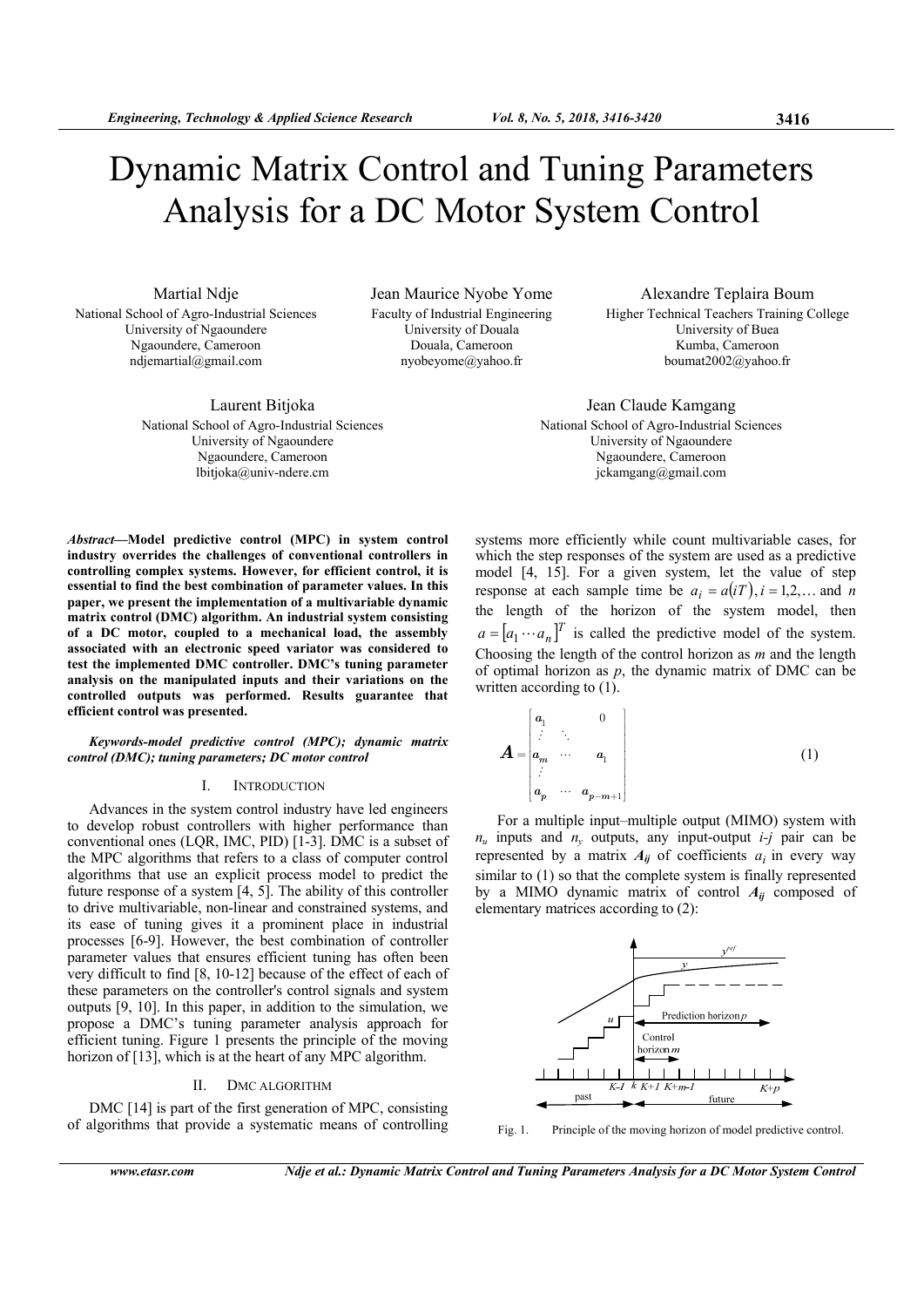# Dynamic Matrix Control and Tuning Parameters Analysis for a DC Motor System Control

Martial Ndje National School of Agro-Industrial Sciences University of Ngaoundere Ngaoundere, Cameroon ndjemartial@gmail.com

Jean Maurice Nyobe Yome Faculty of Industrial Engineering University of Douala Douala, Cameroon nyobeyome@yahoo.fr

Laurent Bitjoka National School of Agro-Industrial Sciences University of Ngaoundere Ngaoundere, Cameroon lbitjoka@univ-ndere.cm

Alexandre Teplaira Boum Higher Technical Teachers Training College University of Buea Kumba, Cameroon boumat2002@yahoo.fr

Jean Claude Kamgang National School of Agro-Industrial Sciences University of Ngaoundere Ngaoundere, Cameroon jckamgang@gmail.com

*Abstract***—Model predictive control (MPC) in system control industry overrides the challenges of conventional controllers in controlling complex systems. However, for efficient control, it is essential to find the best combination of parameter values. In this paper, we present the implementation of a multivariable dynamic matrix control (DMC) algorithm. An industrial system consisting of a DC motor, coupled to a mechanical load, the assembly associated with an electronic speed variator was considered to test the implemented DMC controller. DMC's tuning parameter analysis on the manipulated inputs and their variations on the controlled outputs was performed. Results guarantee that efficient control was presented.** 

*Keywords-model predictive control (MPC); dynamic matrix control (DMC); tuning parameters; DC motor control* 

#### I. INTRODUCTION

Advances in the system control industry have led engineers to develop robust controllers with higher performance than conventional ones (LQR, IMC, PID) [1-3]. DMC is a subset of the MPC algorithms that refers to a class of computer control algorithms that use an explicit process model to predict the future response of a system [4, 5]. The ability of this controller to drive multivariable, non-linear and constrained systems, and its ease of tuning gives it a prominent place in industrial processes [6-9]. However, the best combination of controller parameter values that ensures efficient tuning has often been very difficult to find [8, 10-12] because of the effect of each of these parameters on the controller's control signals and system outputs [9, 10]. In this paper, in addition to the simulation, we propose a DMC's tuning parameter analysis approach for efficient tuning. Figure 1 presents the principle of the moving horizon of [13], which is at the heart of any MPC algorithm.

#### II. DMC ALGORITHM

DMC [14] is part of the first generation of MPC, consisting of algorithms that provide a systematic means of controlling

## systems more efficiently while count multivariable cases, for which the step responses of the system are used as a predictive model [4, 15]. For a given system, let the value of step response at each sample time be  $a_i = a(iT), i = 1,2,...$  and *n* the length of the horizon of the system model, then  $a = [a_1 \cdots a_n]^T$  is called the predictive model of the system. Choosing the length of the control horizon as *m* and the length of optimal horizon as *p*, the dynamic matrix of DMC can be written according to  $(1)$ .

$$
\boldsymbol{A} = \begin{bmatrix} a_1 & 0 \\ \vdots & \ddots & \\ a_m & \cdots & a_1 \\ \vdots & \vdots & \ddots \\ a_p & \cdots & a_{p-m+1} \end{bmatrix} \tag{1}
$$

 For a multiple input–multiple output (MIMO) system with  $n_u$  inputs and  $n_v$  outputs, any input-output  $i-j$  pair can be represented by a matrix  $A_{ij}$  of coefficients  $a_i$  in every way similar to (1) so that the complete system is finally represented by a MIMO dynamic matrix of control *Aij* composed of elementary matrices according to (2):



Fig. 1. Principle of the moving horizon of model predictive control.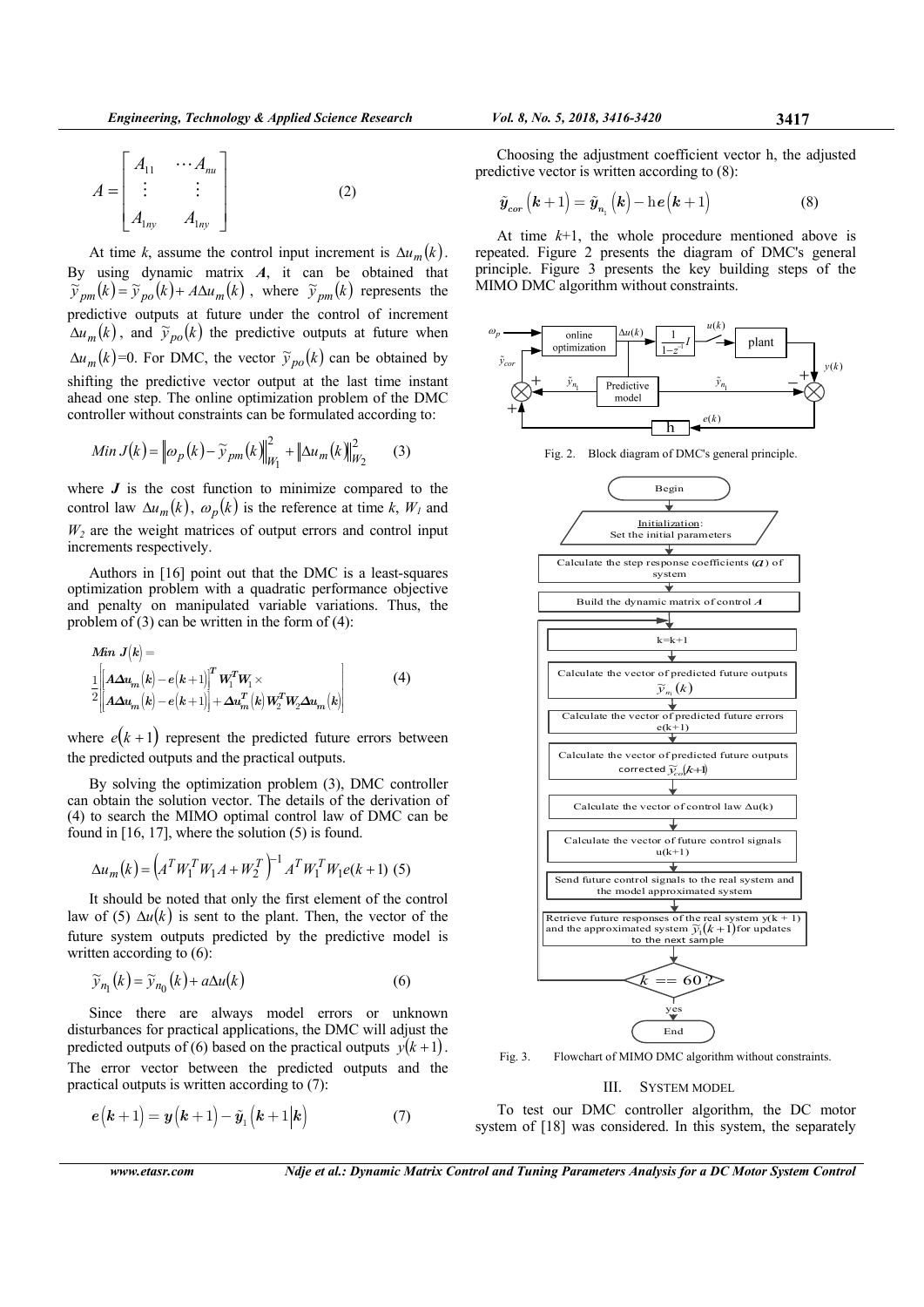At time k, assume the control input increment is  $\Delta u_m(k)$ . By using dynamic matrix *A*, it can be obtained that  $\tilde{y}_{pm}(k) = \tilde{y}_{po}(k) + A\Delta u_m(k)$ , where  $\tilde{y}_{pm}(k)$  represents the predictive outputs at future under the control of increment  $\Delta u_m(k)$ , and  $\tilde{y}_{n\rho}(k)$  the predictive outputs at future when  $\Delta u_m(k)$ =0. For DMC, the vector  $\tilde{y}_{po}(k)$  can be obtained by shifting the predictive vector output at the last time instant ahead one step. The online optimization problem of the DMC controller without constraints can be formulated according to:

Min 
$$
J(k) = ||\omega_p(k) - \widetilde{\gamma}_{pm}(k)||_{W_1}^2 + ||\Delta u_m(k)||_{W_2}^2
$$
 (3)

where  $J$  is the cost function to minimize compared to the control law  $\Delta u_m(k)$ ,  $\omega_p(k)$  is the reference at time k,  $W_l$  and  $W_2$  are the weight matrices of output errors and control input increments respectively.

Authors in [16] point out that the DMC is a least-squares optimization problem with a quadratic performance objective and penalty on manipulated variable variations. Thus, the problem of  $(3)$  can be written in the form of  $(4)$ :

$$
\begin{aligned}\n\mathbf{Min} \ J(k) &= \\
\frac{1}{2} \left[ \mathbf{A} \Delta u_m(k) - e(k+1) \right]^T \mathbf{W}_1^T \mathbf{W}_1 \times \\
&= \left[ \mathbf{A} \Delta u_m(k) - e(k+1) \right] + \Delta u_m^T(k) \mathbf{W}_2^T \mathbf{W}_2 \Delta u_m(k)\n\end{aligned} \tag{4}
$$

where  $e(k+1)$  represent the predicted future errors between the predicted outputs and the practical outputs.

By solving the optimization problem (3), DMC controller can obtain the solution vector. The details of the derivation of (4) to search the MIMO optimal control law of DMC can be found in  $[16, 17]$ , where the solution  $(5)$  is found.

$$
\Delta u_m(k) = \left(A^T W_1^T W_1 A + W_2^T\right)^{-1} A^T W_1^T W_1 e(k+1) \tag{5}
$$

It should be noted that only the first element of the control law of (5)  $\Delta u(k)$  is sent to the plant. Then, the vector of the future system outputs predicted by the predictive model is written according to  $(6)$ :

$$
\widetilde{\mathbf{y}}_{n_1}(k) = \widetilde{\mathbf{y}}_{n_0}(k) + a\Delta u(k) \tag{6}
$$

Since there are always model errors or unknown disturbances for practical applications, the DMC will adjust the predicted outputs of (6) based on the practical outputs  $y(k+1)$ . The error vector between the predicted outputs and the practical outputs is written according to (7):

$$
e(k+1) = y(k+1) - \tilde{y}_1(k+1|k)
$$
 (7)

Ш.

**SYSTEM MODEL** To test our DMC controller algorithm, the DC motor system of [18] was considered. In this system, the separately

Vol. 8, No. 5, 2018, 3416-3420

Choosing the adjustment coefficient vector h, the adjusted predictive vector is written according to  $(8)$ :

3417

$$
\tilde{y}_{cor}\left(k+1\right) = \tilde{y}_{n_1}\left(k\right) - \mathrm{h}\,e\left(k+1\right) \tag{8}
$$

At time  $k+1$ , the whole procedure mentioned above is repeated. Figure 2 presents the diagram of DMC's general principle. Figure 3 presents the key building steps of the MIMO DMC algorithm without constraints.



Fig. 2. Block diagram of DMC's general principle.

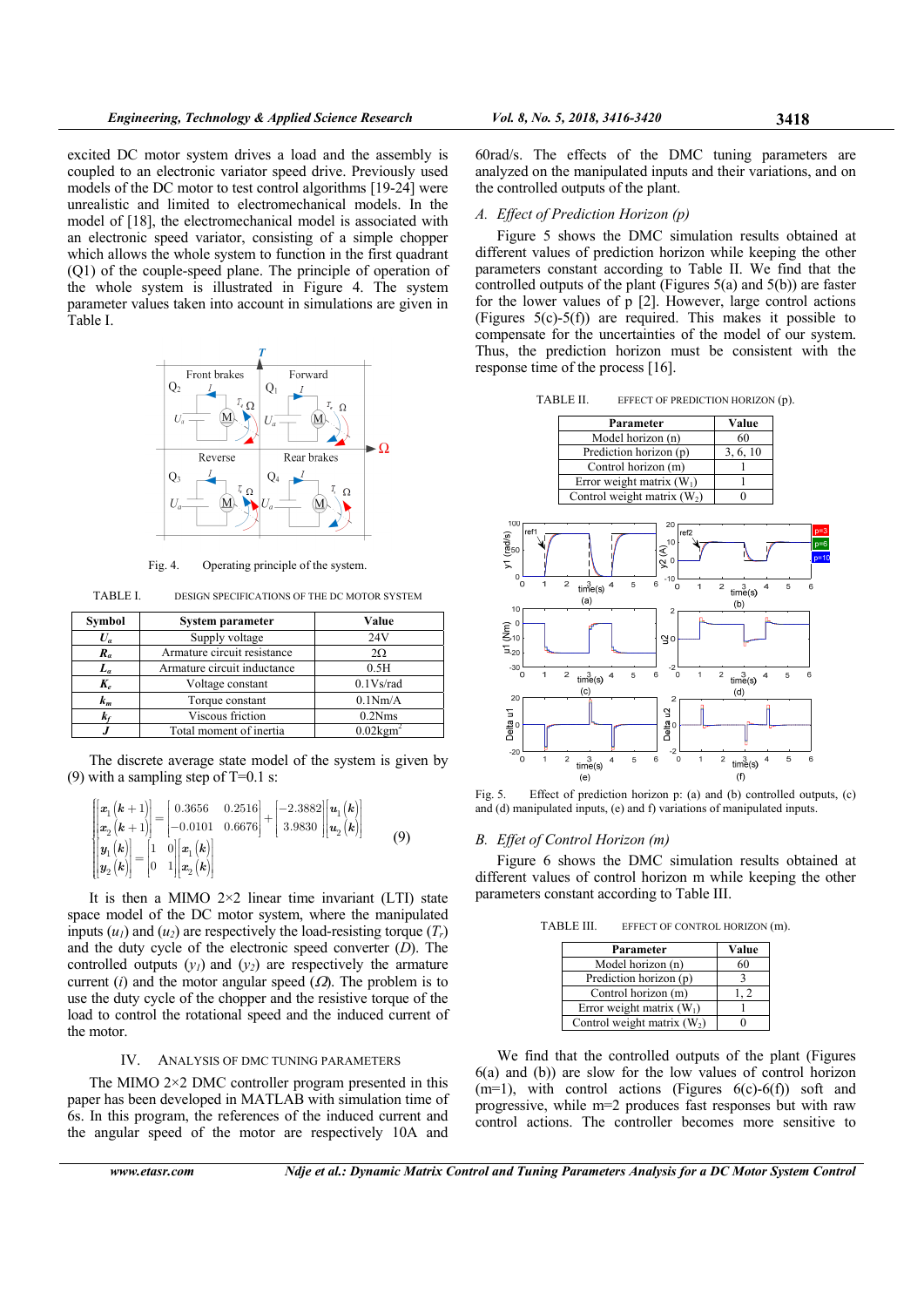excited DC motor system drives a load and the assembly is coupled to an electronic variator speed drive. Previously used models of the DC motor to test control algorithms [19-24] were unrealistic and limited to electromechanical models. In the model of [18], the electromechanical model is associated with an electronic speed variator, consisting of a simple chopper which allows the whole system to function in the first quadrant (Q1) of the couple-speed plane. The principle of operation of the whole system is illustrated in Figure 4. The system parameter values taken into account in simulations are given in Table I.



Fig. 4. Operating principle of the system.

TABLE I. DESIGN SPECIFICATIONS OF THE DC MOTOR SYSTEM

| Symbol | System parameter            | Value                   |
|--------|-----------------------------|-------------------------|
| $U_a$  | Supply voltage              | 24V                     |
| $R_a$  | Armature circuit resistance | $2\Omega$               |
| $L_a$  | Armature circuit inductance | 0.5H                    |
| $K_e$  | Voltage constant            | $0.1$ Vs/rad            |
| $k_m$  | Torque constant             | 0.1Nm/A                 |
|        | Viscous friction            | 0.2Nms                  |
|        | Total moment of inertia     | $0.02$ kgm <sup>2</sup> |

The discrete average state model of the system is given by (9) with a sampling step of  $T=0.1$  s:

$$
\begin{bmatrix} x_1(k+1) \\ x_2(k+1) \\ x_2(k) \end{bmatrix} = \begin{bmatrix} 0.3656 & 0.2516 \\ -0.0101 & 0.6676 \end{bmatrix} + \begin{bmatrix} -2.3882 \\ 3.9830 \end{bmatrix} \begin{bmatrix} u_1(k) \\ u_2(k) \end{bmatrix}
$$
  
\n
$$
\begin{bmatrix} y_1(k) \\ y_2(k) \end{bmatrix} = \begin{bmatrix} 1 & 0 \\ 0 & 1 \end{bmatrix} \begin{bmatrix} x_1(k) \\ x_2(k) \end{bmatrix}
$$
 (9)

It is then a MIMO  $2\times2$  linear time invariant (LTI) state space model of the DC motor system, where the manipulated inputs  $(u_1)$  and  $(u_2)$  are respectively the load-resisting torque  $(T_r)$ and the duty cycle of the electronic speed converter (*D*). The controlled outputs  $(y_1)$  and  $(y_2)$  are respectively the armature current (*i*) and the motor angular speed  $(\Omega)$ . The problem is to use the duty cycle of the chopper and the resistive torque of the load to control the rotational speed and the induced current of the motor.

#### IV. ANALYSIS OF DMC TUNING PARAMETERS

The MIMO 2×2 DMC controller program presented in this paper has been developed in MATLAB with simulation time of 6s. In this program, the references of the induced current and the angular speed of the motor are respectively 10A and

60rad/s. The effects of the DMC tuning parameters are analyzed on the manipulated inputs and their variations, and on the controlled outputs of the plant.

#### *A. Effect of Prediction Horizon (p)*

Figure 5 shows the DMC simulation results obtained at different values of prediction horizon while keeping the other parameters constant according to Table II. We find that the controlled outputs of the plant (Figures 5(a) and 5(b)) are faster for the lower values of p [2]. However, large control actions (Figures 5(c)-5(f)) are required. This makes it possible to compensate for the uncertainties of the model of our system. Thus, the prediction horizon must be consistent with the response time of the process [16].

TABLE II. EFFECT OF PREDICTION HORIZON (p).



Fig. 5. Effect of prediction horizon p: (a) and (b) controlled outputs, (c) and (d) manipulated inputs, (e) and f) variations of manipulated inputs.

#### *B. Effet of Control Horizon (m)*

Figure 6 shows the DMC simulation results obtained at different values of control horizon m while keeping the other parameters constant according to Table III.

TABLE III. EFFECT OF CONTROL HORIZON (m).

| Parameter                     | Value     |
|-------------------------------|-----------|
| Model horizon (n)             | 60        |
| Prediction horizon (p)        |           |
| Control horizon (m)           | $\cdot$ 2 |
| Error weight matrix $(W_1)$   |           |
| Control weight matrix $(W_2)$ |           |

We find that the controlled outputs of the plant (Figures 6(a) and (b)) are slow for the low values of control horizon  $(m=1)$ , with control actions (Figures  $6(c)$ - $6(f)$ ) soft and progressive, while m=2 produces fast responses but with raw control actions. The controller becomes more sensitive to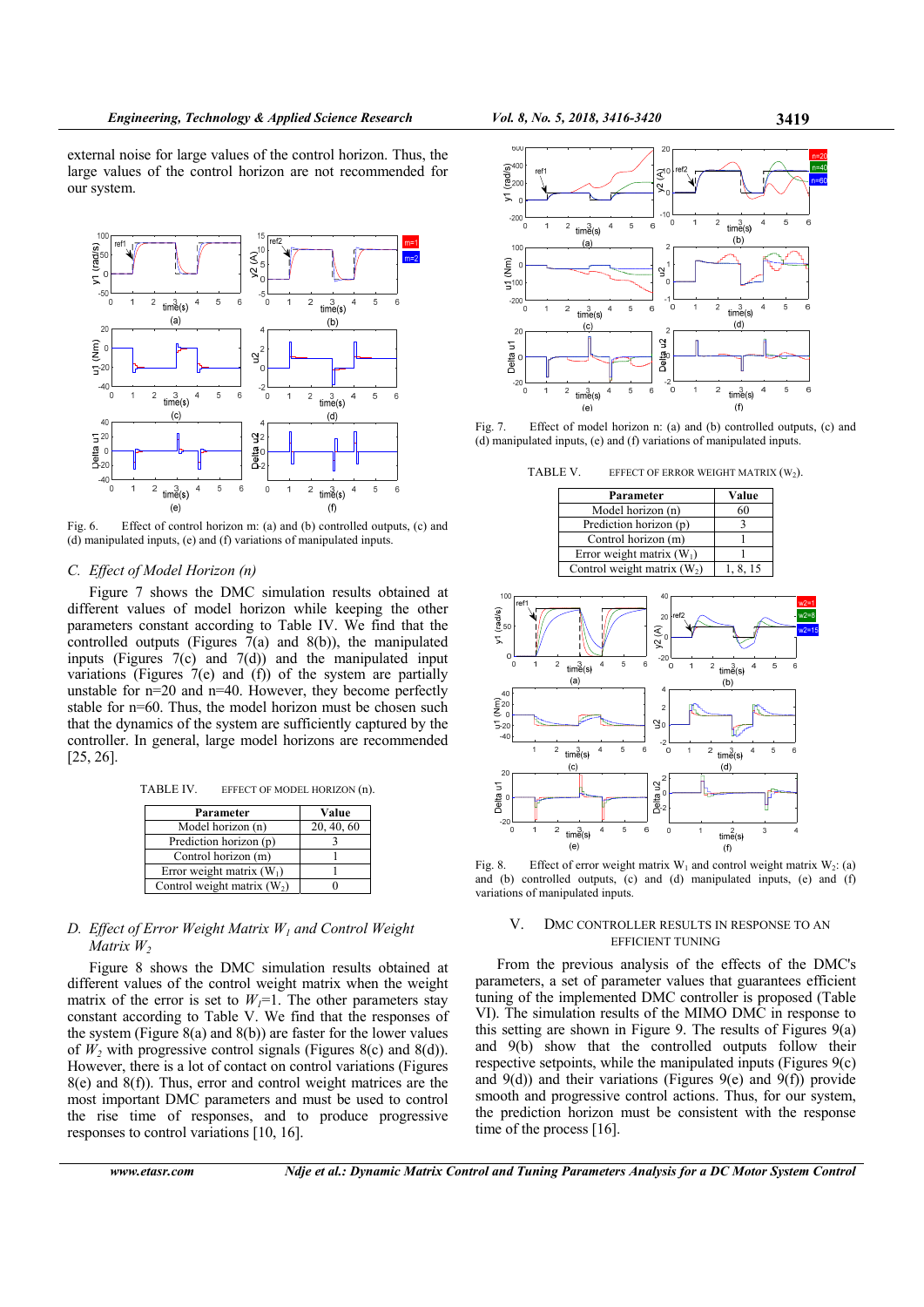external noise for large values of the control horizon. Thus, the large values of the control horizon are not recommended for our system.



Fig. 6. Effect of control horizon m: (a) and (b) controlled outputs, (c) and (d) manipulated inputs, (e) and (f) variations of manipulated inputs.

### *C. Effect of Model Horizon (n)*

Figure 7 shows the DMC simulation results obtained at different values of model horizon while keeping the other parameters constant according to Table IV. We find that the controlled outputs (Figures  $7(a)$  and 8(b)), the manipulated inputs (Figures 7(c) and 7(d)) and the manipulated input variations (Figures 7(e) and (f)) of the system are partially unstable for n=20 and n=40. However, they become perfectly stable for n=60. Thus, the model horizon must be chosen such that the dynamics of the system are sufficiently captured by the controller. In general, large model horizons are recommended [25, 26].

TABLE IV. EFFECT OF MODEL HORIZON (n).

| Parameter                     | Value      |
|-------------------------------|------------|
| Model horizon (n)             | 20, 40, 60 |
| Prediction horizon (p)        |            |
| Control horizon (m)           |            |
| Error weight matrix $(W_1)$   |            |
| Control weight matrix $(W_2)$ |            |

## *D. Effect of Error Weight Matrix W1 and Control Weight Matrix W*<sub>2</sub>

Figure 8 shows the DMC simulation results obtained at different values of the control weight matrix when the weight matrix of the error is set to  $W_l=1$ . The other parameters stay constant according to Table V. We find that the responses of the system (Figure 8(a) and 8(b)) are faster for the lower values of  $W_2$  with progressive control signals (Figures 8(c) and 8(d)). However, there is a lot of contact on control variations (Figures 8(e) and 8(f)). Thus, error and control weight matrices are the most important DMC parameters and must be used to control the rise time of responses, and to produce progressive responses to control variations [10, 16].



Fig. 7. Effect of model horizon n: (a) and (b) controlled outputs, (c) and (d) manipulated inputs, (e) and (f) variations of manipulated inputs.

TABLE V. EFFECT OF ERROR WEIGHT MATRIX  $(W_2)$ .

| Parameter                     | Value    |
|-------------------------------|----------|
| Model horizon (n)             | 60       |
| Prediction horizon (p)        |          |
| Control horizon (m)           |          |
| Error weight matrix $(W_1)$   |          |
| Control weight matrix $(W_2)$ | 1, 8, 15 |



Fig. 8. Effect of error weight matrix  $W_1$  and control weight matrix  $W_2$ : (a) and (b) controlled outputs, (c) and (d) manipulated inputs, (e) and (f) variations of manipulated inputs.

### V. DMC CONTROLLER RESULTS IN RESPONSE TO AN EFFICIENT TUNING

From the previous analysis of the effects of the DMC's parameters, a set of parameter values that guarantees efficient tuning of the implemented DMC controller is proposed (Table VI). The simulation results of the MIMO DMC in response to this setting are shown in Figure 9. The results of Figures 9(a) and 9(b) show that the controlled outputs follow their respective setpoints, while the manipulated inputs (Figures 9(c) and  $9(d)$ ) and their variations (Figures  $9(e)$  and  $9(f)$ ) provide smooth and progressive control actions. Thus, for our system, the prediction horizon must be consistent with the response time of the process [16].